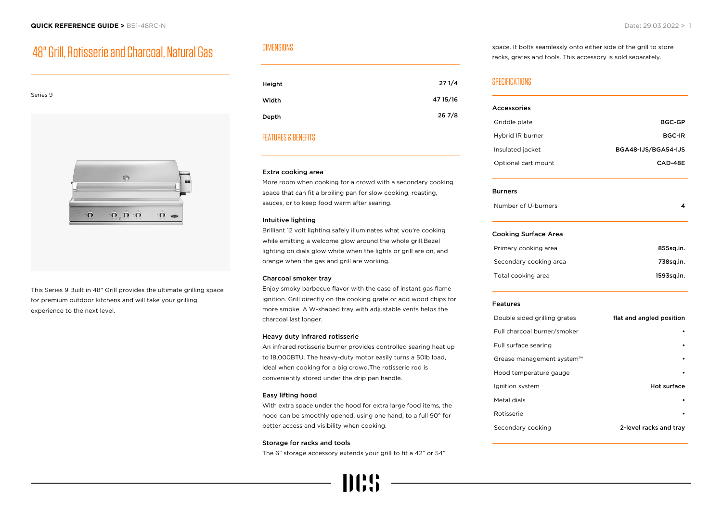# 48" Grill, Rotisserie and Charcoal, Natural Gas



This Series 9 Built in 48" Grill provides the ultimate grilling space for premium outdoor kitchens and will take your grilling experience to the next level.

# DIMENSIONS

| Height | 271/4    |
|--------|----------|
| Width  | 47 15/16 |
| Depth  | 267/8    |

## FEATURES & BENEFITS

#### Extra cooking area

More room when cooking for a crowd with a secondary cooking space that can fit a broiling pan for slow cooking, roasting, sauces, or to keep food warm after searing.

#### Intuitive lighting

Brilliant 12 volt lighting safely illuminates what you're cooking while emitting a welcome glow around the whole grill.Bezel lighting on dials glow white when the lights or grill are on, and orange when the gas and grill are working.

## Charcoal smoker tray

Enjoy smoky barbecue flavor with the ease of instant gas flame ignition. Grill directly on the cooking grate or add wood chips for more smoke. A W-shaped tray with adjustable vents helps the charcoal last longer.

#### Heavy duty infrared rotisserie

An infrared rotisserie burner provides controlled searing heat up to 18,000BTU. The heavy-duty motor easily turns a 50lb load, ideal when cooking for a big crowd.The rotisserie rod is conveniently stored under the drip pan handle.

#### Easy lifting hood

With extra space under the hood for extra large food items, the hood can be smoothly opened, using one hand, to a full 90° for better access and visibility when cooking.

#### Storage for racks and tools

The 6" storage accessory extends your grill to fit a 42" or 54"

space. It bolts seamlessly onto either side of the grill to store racks, grates and tools. This accessory is sold separately.

## SPECIFICATIONS

| <b>Accessories</b>           |                          |
|------------------------------|--------------------------|
| Griddle plate                | <b>BGC-GP</b>            |
| Hybrid IR burner             | <b>BGC-IR</b>            |
| Insulated jacket             | BGA48-IJS/BGA54-IJS      |
| Optional cart mount          | CAD-48E                  |
| <b>Burners</b>               |                          |
| Number of U-burners          | 4                        |
| <b>Cooking Surface Area</b>  |                          |
| Primary cooking area         | 855sq.in.                |
| Secondary cooking area       | 738sq.in.                |
| Total cooking area           | 1593sq.in.               |
| <b>Features</b>              |                          |
| Double sided grilling grates | flat and angled position |
| Full charcoal burner/smoker  |                          |
| Full surface searing         |                          |
| Grease management system™    |                          |
| Hood temperature gauge       |                          |
| Ignition system              | Hot surface              |
| Metal dials                  |                          |
| Rotisserie                   |                          |
| Secondary cooking            | 2-level racks and tray   |